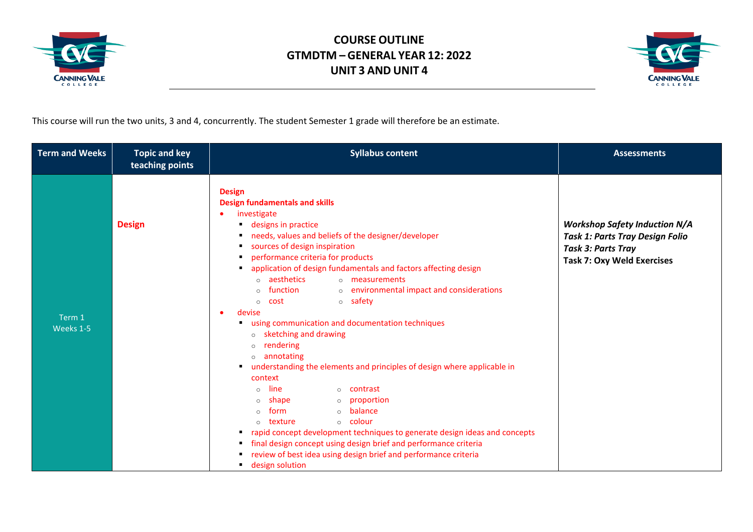



This course will run the two units, 3 and 4, concurrently. The student Semester 1 grade will therefore be an estimate.

| <b>Term and Weeks</b> | <b>Topic and key</b><br>teaching points | <b>Syllabus content</b>                                                                                                                                                                                                                                                                                                                                                                                                                                                                                                                                                                                                                                                                                                                                                                                                                                                                                                                                                                                                                                       | <b>Assessments</b>                                                                                                                               |
|-----------------------|-----------------------------------------|---------------------------------------------------------------------------------------------------------------------------------------------------------------------------------------------------------------------------------------------------------------------------------------------------------------------------------------------------------------------------------------------------------------------------------------------------------------------------------------------------------------------------------------------------------------------------------------------------------------------------------------------------------------------------------------------------------------------------------------------------------------------------------------------------------------------------------------------------------------------------------------------------------------------------------------------------------------------------------------------------------------------------------------------------------------|--------------------------------------------------------------------------------------------------------------------------------------------------|
| Term 1<br>Weeks 1-5   | <b>Design</b>                           | <b>Design</b><br><b>Design fundamentals and skills</b><br>investigate<br>designs in practice<br>needs, values and beliefs of the designer/developer<br>sources of design inspiration<br>performance criteria for products<br>application of design fundamentals and factors affecting design<br>o aesthetics<br>o measurements<br>o environmental impact and considerations<br>function<br>○ safety<br>cost<br>$\circ$<br>devise<br>$\bullet$<br>using communication and documentation techniques<br>o sketching and drawing<br>rendering<br>$\circ$<br>$\circ$ annotating<br>understanding the elements and principles of design where applicable in<br>п.<br>context<br>line<br>o contrast<br>$\circ$<br>shape<br>o proportion<br>$\circ$<br>o <b>balance</b><br>form<br>$\circ$ colour<br>texture<br>$\circ$<br>rapid concept development techniques to generate design ideas and concepts<br>п.<br>final design concept using design brief and performance criteria<br>review of best idea using design brief and performance criteria<br>design solution | <b>Workshop Safety Induction N/A</b><br><b>Task 1: Parts Tray Design Folio</b><br><b>Task 3: Parts Tray</b><br><b>Task 7: Oxy Weld Exercises</b> |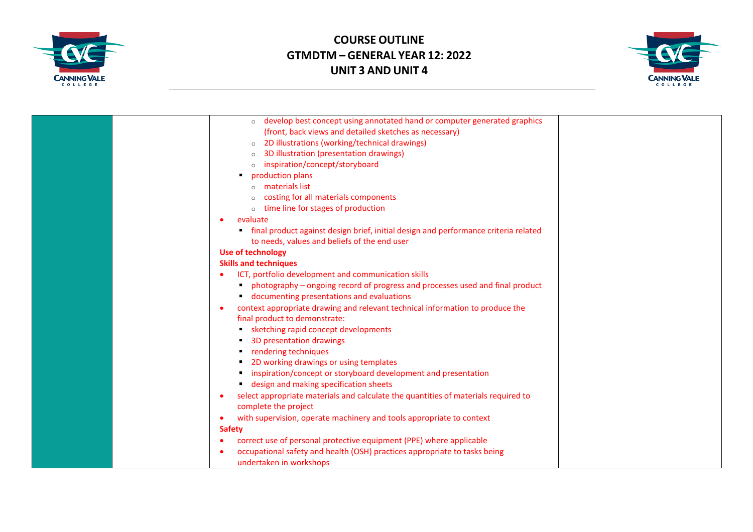



| develop best concept using annotated hand or computer generated graphics<br>$\circ$             |  |
|-------------------------------------------------------------------------------------------------|--|
| (front, back views and detailed sketches as necessary)                                          |  |
| 2D illustrations (working/technical drawings)<br>$\circ$                                        |  |
| 3D illustration (presentation drawings)                                                         |  |
| inspiration/concept/storyboard                                                                  |  |
| production plans                                                                                |  |
| materials list                                                                                  |  |
| costing for all materials components                                                            |  |
| time line for stages of production<br>$\circ$                                                   |  |
| evaluate                                                                                        |  |
| final product against design brief, initial design and performance criteria related             |  |
| to needs, values and beliefs of the end user                                                    |  |
| <b>Use of technology</b>                                                                        |  |
| <b>Skills and techniques</b>                                                                    |  |
| ICT, portfolio development and communication skills                                             |  |
| photography – ongoing record of progress and processes used and final product                   |  |
| documenting presentations and evaluations                                                       |  |
| context appropriate drawing and relevant technical information to produce the<br>$\bullet$      |  |
| final product to demonstrate:                                                                   |  |
| sketching rapid concept developments                                                            |  |
| 3D presentation drawings                                                                        |  |
| rendering techniques                                                                            |  |
| 2D working drawings or using templates                                                          |  |
| inspiration/concept or storyboard development and presentation                                  |  |
| design and making specification sheets                                                          |  |
| select appropriate materials and calculate the quantities of materials required to<br>$\bullet$ |  |
| complete the project                                                                            |  |
| with supervision, operate machinery and tools appropriate to context<br>$\bullet$               |  |
| <b>Safety</b>                                                                                   |  |
| correct use of personal protective equipment (PPE) where applicable                             |  |
| occupational safety and health (OSH) practices appropriate to tasks being                       |  |
| undertaken in workshops                                                                         |  |
|                                                                                                 |  |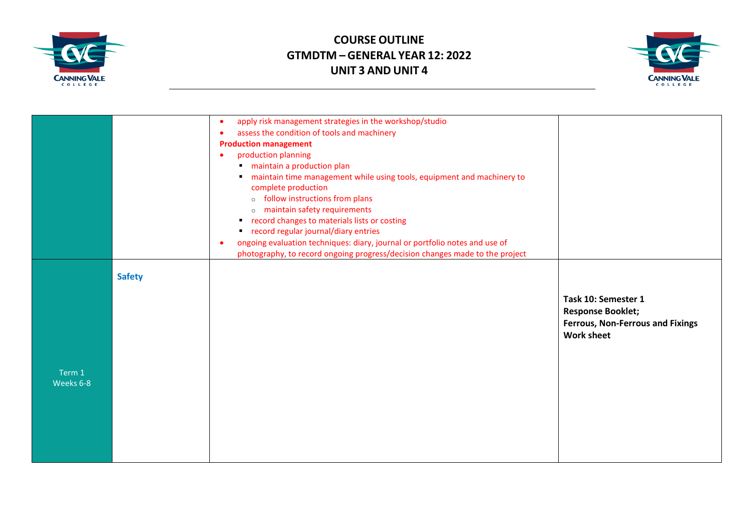



|                     |               | apply risk management strategies in the workshop/studio<br>$\bullet$<br>assess the condition of tools and machinery<br>$\bullet$<br><b>Production management</b><br>production planning<br>$\bullet$<br>maintain a production plan<br>maintain time management while using tools, equipment and machinery to<br>٠<br>complete production<br>o follow instructions from plans<br>o maintain safety requirements<br>record changes to materials lists or costing<br>٠<br>record regular journal/diary entries<br>ongoing evaluation techniques: diary, journal or portfolio notes and use of<br>$\bullet$ |                                                                                                                 |
|---------------------|---------------|---------------------------------------------------------------------------------------------------------------------------------------------------------------------------------------------------------------------------------------------------------------------------------------------------------------------------------------------------------------------------------------------------------------------------------------------------------------------------------------------------------------------------------------------------------------------------------------------------------|-----------------------------------------------------------------------------------------------------------------|
| Term 1<br>Weeks 6-8 | <b>Safety</b> | photography, to record ongoing progress/decision changes made to the project                                                                                                                                                                                                                                                                                                                                                                                                                                                                                                                            | Task 10: Semester 1<br><b>Response Booklet;</b><br><b>Ferrous, Non-Ferrous and Fixings</b><br><b>Work sheet</b> |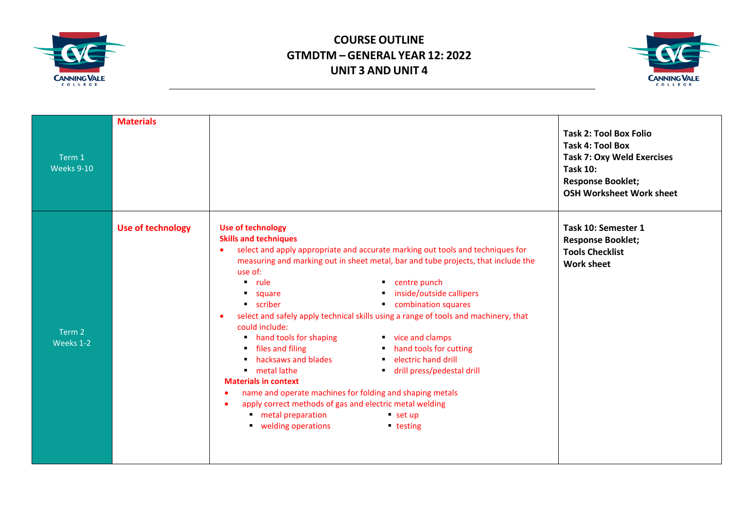



| Term 1<br>Weeks 9-10 | <b>Materials</b>         |                                                                                                                                                                                                                                                                                                                                                                                                                                                                                                                                                                                                                                                                                                                                                                                                                                                                                                                                            | <b>Task 2: Tool Box Folio</b><br><b>Task 4: Tool Box</b><br><b>Task 7: Oxy Weld Exercises</b><br><b>Task 10:</b><br><b>Response Booklet;</b><br><b>OSH Worksheet Work sheet</b> |
|----------------------|--------------------------|--------------------------------------------------------------------------------------------------------------------------------------------------------------------------------------------------------------------------------------------------------------------------------------------------------------------------------------------------------------------------------------------------------------------------------------------------------------------------------------------------------------------------------------------------------------------------------------------------------------------------------------------------------------------------------------------------------------------------------------------------------------------------------------------------------------------------------------------------------------------------------------------------------------------------------------------|---------------------------------------------------------------------------------------------------------------------------------------------------------------------------------|
| Term 2<br>Weeks 1-2  | <b>Use of technology</b> | <b>Use of technology</b><br><b>Skills and techniques</b><br>select and apply appropriate and accurate marking out tools and techniques for<br>$\bullet$<br>measuring and marking out in sheet metal, bar and tube projects, that include the<br>use of:<br>• centre punch<br>$\blacksquare$ rule<br>inside/outside callipers<br>" square<br>combination squares<br><b>scriber</b><br>select and safely apply technical skills using a range of tools and machinery, that<br>$\bullet$<br>could include:<br>hand tools for shaping<br>vice and clamps<br>• files and filing<br>hand tools for cutting<br>hacksaws and blades<br>electric hand drill<br>$\blacksquare$ metal lathe<br>drill press/pedestal drill<br><b>Materials in context</b><br>name and operate machines for folding and shaping metals<br>apply correct methods of gas and electric metal welding<br>metal preparation<br>$•$ set up<br>velding operations<br>■ testing | Task 10: Semester 1<br><b>Response Booklet;</b><br><b>Tools Checklist</b><br><b>Work sheet</b>                                                                                  |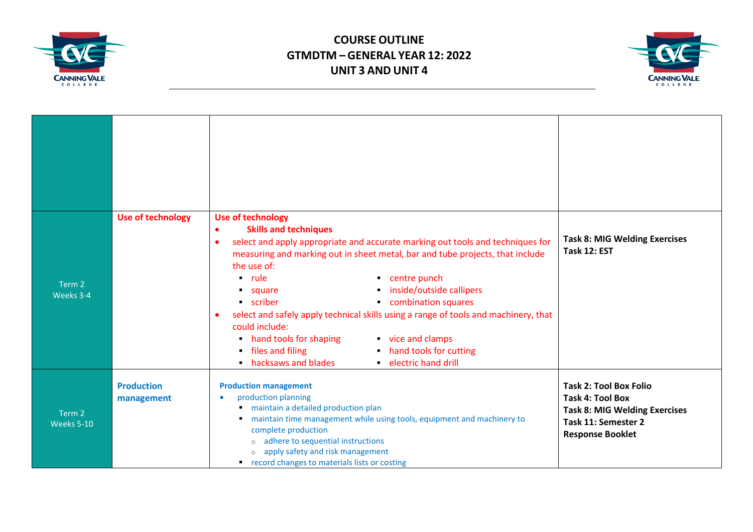



| Term 2<br>Weeks 3-4  | <b>Use of technology</b>        | <b>Use of technology</b><br><b>Skills and techniques</b><br>$\bullet$<br>select and apply appropriate and accurate marking out tools and techniques for<br>$\bullet$<br>measuring and marking out in sheet metal, bar and tube projects, that include<br>the use of:<br>$\blacksquare$ rule<br>centre punch<br>inside/outside callipers<br><b>Square</b><br>combination squares<br>• scriber<br>select and safely apply technical skills using a range of tools and machinery, that<br>$\bullet$<br>could include:<br>hand tools for shaping<br>vice and clamps<br>files and filing<br>hand tools for cutting<br>٠.<br>hacksaws and blades<br>electric hand drill<br>٠ | <b>Task 8: MIG Welding Exercises</b><br>Task 12: EST                                                                                               |
|----------------------|---------------------------------|------------------------------------------------------------------------------------------------------------------------------------------------------------------------------------------------------------------------------------------------------------------------------------------------------------------------------------------------------------------------------------------------------------------------------------------------------------------------------------------------------------------------------------------------------------------------------------------------------------------------------------------------------------------------|----------------------------------------------------------------------------------------------------------------------------------------------------|
| Term 2<br>Weeks 5-10 | <b>Production</b><br>management | <b>Production management</b><br>production planning<br>maintain a detailed production plan<br>maintain time management while using tools, equipment and machinery to<br>٠<br>complete production<br>o adhere to sequential instructions<br>o apply safety and risk management<br>• record changes to materials lists or costing                                                                                                                                                                                                                                                                                                                                        | <b>Task 2: Tool Box Folio</b><br><b>Task 4: Tool Box</b><br><b>Task 8: MIG Welding Exercises</b><br>Task 11: Semester 2<br><b>Response Booklet</b> |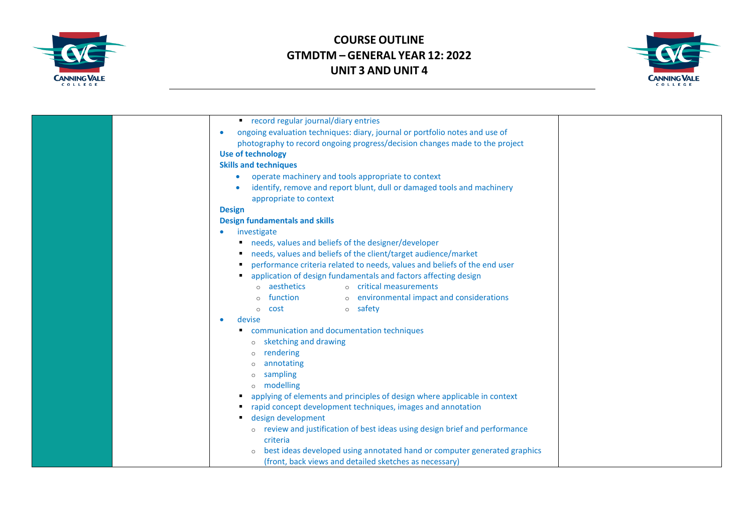



| record regular journal/diary entries                                        |  |
|-----------------------------------------------------------------------------|--|
| ongoing evaluation techniques: diary, journal or portfolio notes and use of |  |
| photography to record ongoing progress/decision changes made to the project |  |
| <b>Use of technology</b>                                                    |  |
| <b>Skills and techniques</b>                                                |  |
| operate machinery and tools appropriate to context<br>$\bullet$             |  |
| identify, remove and report blunt, dull or damaged tools and machinery      |  |
| appropriate to context                                                      |  |
| <b>Design</b>                                                               |  |
| <b>Design fundamentals and skills</b>                                       |  |
| investigate                                                                 |  |
| needs, values and beliefs of the designer/developer                         |  |
| needs, values and beliefs of the client/target audience/market              |  |
| performance criteria related to needs, values and beliefs of the end user   |  |
| application of design fundamentals and factors affecting design             |  |
| o aesthetics<br>o critical measurements                                     |  |
| function<br>o environmental impact and considerations                       |  |
| <b>o</b> safety<br>o <b>cost</b>                                            |  |
|                                                                             |  |
| devise                                                                      |  |
| communication and documentation techniques                                  |  |
| o sketching and drawing                                                     |  |
| rendering                                                                   |  |
| annotating                                                                  |  |
| sampling                                                                    |  |
| o modelling                                                                 |  |
| applying of elements and principles of design where applicable in context   |  |
| rapid concept development techniques, images and annotation                 |  |
| design development                                                          |  |
| review and justification of best ideas using design brief and performance   |  |
| criteria                                                                    |  |
| best ideas developed using annotated hand or computer generated graphics    |  |
| (front, back views and detailed sketches as necessary)                      |  |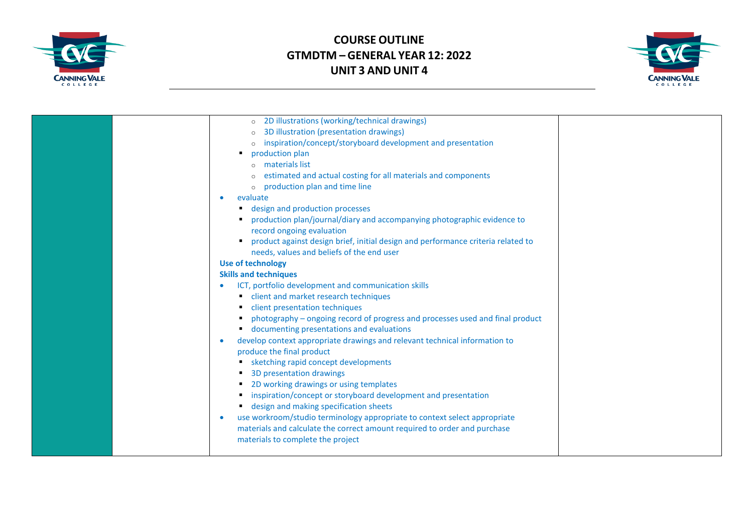



| 2D illustrations (working/technical drawings)<br>$\circ$                                |  |
|-----------------------------------------------------------------------------------------|--|
| 3D illustration (presentation drawings)                                                 |  |
| inspiration/concept/storyboard development and presentation                             |  |
| production plan                                                                         |  |
| o materials list                                                                        |  |
| estimated and actual costing for all materials and components                           |  |
| production plan and time line                                                           |  |
| evaluate                                                                                |  |
| design and production processes                                                         |  |
| production plan/journal/diary and accompanying photographic evidence to                 |  |
| record ongoing evaluation                                                               |  |
| product against design brief, initial design and performance criteria related to<br>٠   |  |
| needs, values and beliefs of the end user                                               |  |
| <b>Use of technology</b>                                                                |  |
| <b>Skills and techniques</b>                                                            |  |
| ICT, portfolio development and communication skills                                     |  |
| client and market research techniques                                                   |  |
| client presentation techniques                                                          |  |
| photography - ongoing record of progress and processes used and final product           |  |
| " documenting presentations and evaluations                                             |  |
| develop context appropriate drawings and relevant technical information to<br>$\bullet$ |  |
| produce the final product                                                               |  |
| sketching rapid concept developments                                                    |  |
| 3D presentation drawings                                                                |  |
| 2D working drawings or using templates                                                  |  |
| inspiration/concept or storyboard development and presentation                          |  |
| design and making specification sheets                                                  |  |
| use workroom/studio terminology appropriate to context select appropriate<br>$\bullet$  |  |
| materials and calculate the correct amount required to order and purchase               |  |
| materials to complete the project                                                       |  |
|                                                                                         |  |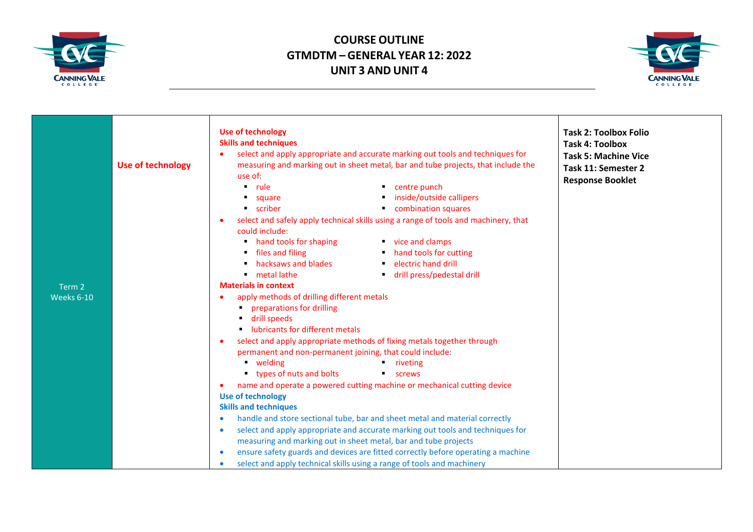



|                          | <b>Use of technology</b>                                                                      | <b>Task 2: Toolbox Folio</b> |
|--------------------------|-----------------------------------------------------------------------------------------------|------------------------------|
|                          | <b>Skills and techniques</b>                                                                  | <b>Task 4: Toolbox</b>       |
|                          | select and apply appropriate and accurate marking out tools and techniques for                | <b>Task 5: Machine Vice</b>  |
| <b>Use of technology</b> | measuring and marking out in sheet metal, bar and tube projects, that include the             | Task 11: Semester 2          |
|                          | use of:                                                                                       |                              |
|                          | $\blacksquare$ rule<br>• centre punch                                                         | <b>Response Booklet</b>      |
|                          | inside/outside callipers<br>square                                                            |                              |
|                          | <b>scriber</b><br>combination squares                                                         |                              |
|                          | select and safely apply technical skills using a range of tools and machinery, that           |                              |
|                          | could include:                                                                                |                              |
|                          | vice and clamps<br>hand tools for shaping                                                     |                              |
|                          | • files and filing<br>• hand tools for cutting                                                |                              |
|                          | hacksaws and blades<br>• electric hand drill                                                  |                              |
|                          | drill press/pedestal drill<br>metal lathe                                                     |                              |
| Term 2                   | <b>Materials in context</b>                                                                   |                              |
| Weeks 6-10               | apply methods of drilling different metals                                                    |                              |
|                          | preparations for drilling                                                                     |                              |
|                          | drill speeds                                                                                  |                              |
|                          | lubricants for different metals                                                               |                              |
|                          | select and apply appropriate methods of fixing metals together through<br>$\bullet$           |                              |
|                          | permanent and non-permanent joining, that could include:                                      |                              |
|                          | • welding<br>■ riveting                                                                       |                              |
|                          | types of nuts and bolts<br><b>E</b> screws                                                    |                              |
|                          | name and operate a powered cutting machine or mechanical cutting device<br>$\bullet$          |                              |
|                          | <b>Use of technology</b>                                                                      |                              |
|                          | <b>Skills and techniques</b>                                                                  |                              |
|                          | handle and store sectional tube, bar and sheet metal and material correctly<br>$\bullet$      |                              |
|                          | select and apply appropriate and accurate marking out tools and techniques for<br>$\bullet$   |                              |
|                          | measuring and marking out in sheet metal, bar and tube projects                               |                              |
|                          | ensure safety guards and devices are fitted correctly before operating a machine<br>$\bullet$ |                              |
|                          | select and apply technical skills using a range of tools and machinery<br>$\bullet$           |                              |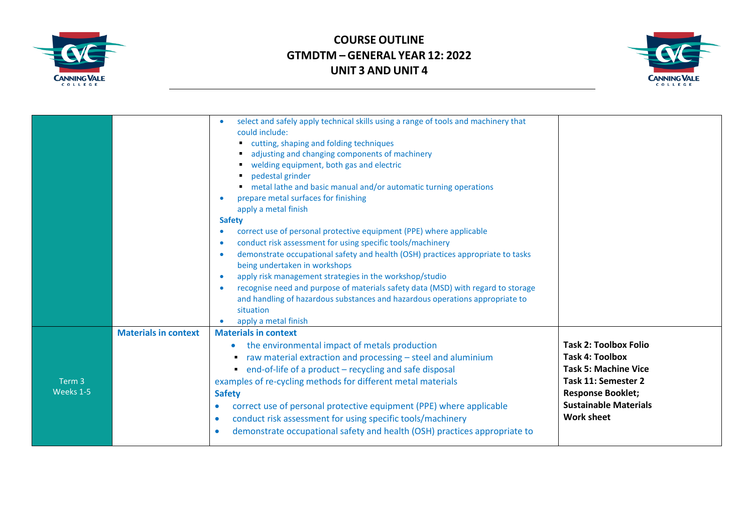



|                                |                             | select and safely apply technical skills using a range of tools and machinery that<br>could include:<br>cutting, shaping and folding techniques<br>adjusting and changing components of machinery<br>welding equipment, both gas and electric<br>pedestal grinder<br>metal lathe and basic manual and/or automatic turning operations<br>prepare metal surfaces for finishing<br>$\bullet$<br>apply a metal finish<br><b>Safety</b><br>correct use of personal protective equipment (PPE) where applicable<br>conduct risk assessment for using specific tools/machinery<br>$\bullet$<br>demonstrate occupational safety and health (OSH) practices appropriate to tasks<br>$\bullet$<br>being undertaken in workshops<br>apply risk management strategies in the workshop/studio<br>$\bullet$<br>recognise need and purpose of materials safety data (MSD) with regard to storage<br>and handling of hazardous substances and hazardous operations appropriate to<br>situation<br>apply a metal finish |                                                                                                                                                                                               |
|--------------------------------|-----------------------------|---------------------------------------------------------------------------------------------------------------------------------------------------------------------------------------------------------------------------------------------------------------------------------------------------------------------------------------------------------------------------------------------------------------------------------------------------------------------------------------------------------------------------------------------------------------------------------------------------------------------------------------------------------------------------------------------------------------------------------------------------------------------------------------------------------------------------------------------------------------------------------------------------------------------------------------------------------------------------------------------------------|-----------------------------------------------------------------------------------------------------------------------------------------------------------------------------------------------|
| Term <sub>3</sub><br>Weeks 1-5 | <b>Materials in context</b> | <b>Materials in context</b><br>the environmental impact of metals production<br>raw material extraction and processing - steel and aluminium<br>• end-of-life of a product - recycling and safe disposal<br>examples of re-cycling methods for different metal materials<br><b>Safety</b><br>correct use of personal protective equipment (PPE) where applicable<br>$\bullet$<br>conduct risk assessment for using specific tools/machinery<br>$\bullet$<br>demonstrate occupational safety and health (OSH) practices appropriate to                                                                                                                                                                                                                                                                                                                                                                                                                                                                   | <b>Task 2: Toolbox Folio</b><br><b>Task 4: Toolbox</b><br><b>Task 5: Machine Vice</b><br>Task 11: Semester 2<br><b>Response Booklet;</b><br><b>Sustainable Materials</b><br><b>Work sheet</b> |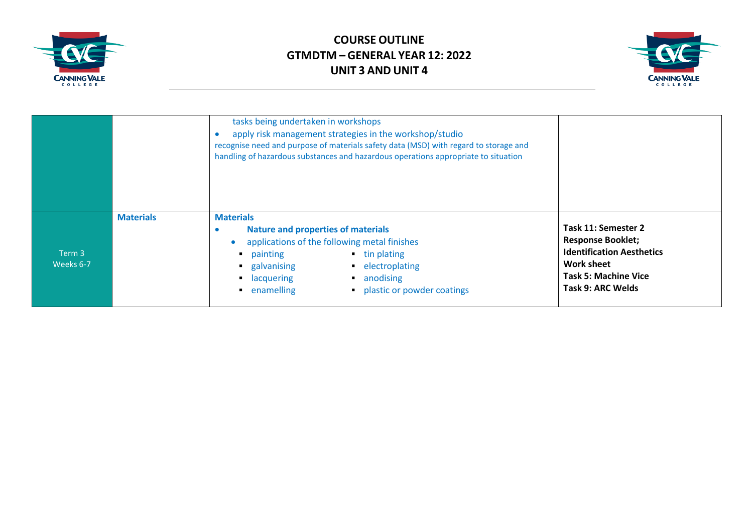



|                     |                  | tasks being undertaken in workshops<br>apply risk management strategies in the workshop/studio<br>recognise need and purpose of materials safety data (MSD) with regard to storage and<br>handling of hazardous substances and hazardous operations appropriate to situation   |                                                                                                                                                              |
|---------------------|------------------|--------------------------------------------------------------------------------------------------------------------------------------------------------------------------------------------------------------------------------------------------------------------------------|--------------------------------------------------------------------------------------------------------------------------------------------------------------|
| Term 3<br>Weeks 6-7 | <b>Materials</b> | <b>Materials</b><br><b>Nature and properties of materials</b><br>applications of the following metal finishes<br>$\blacksquare$ tin plating<br><b>•</b> painting<br>• electroplating<br>galvanising<br>• anodising<br>lacquering<br>• plastic or powder coatings<br>enamelling | Task 11: Semester 2<br><b>Response Booklet;</b><br><b>Identification Aesthetics</b><br><b>Work sheet</b><br><b>Task 5: Machine Vice</b><br>Task 9: ARC Welds |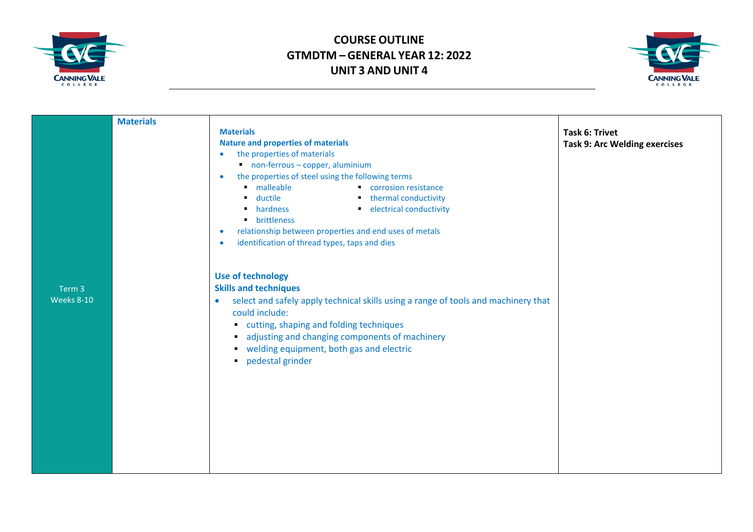



|                   | <b>Materials</b> |                                                                                                 |                                      |
|-------------------|------------------|-------------------------------------------------------------------------------------------------|--------------------------------------|
|                   |                  | <b>Materials</b>                                                                                | <b>Task 6: Trivet</b>                |
|                   |                  | <b>Nature and properties of materials</b>                                                       | <b>Task 9: Arc Welding exercises</b> |
|                   |                  | the properties of materials<br>$\bullet$                                                        |                                      |
|                   |                  | non-ferrous - copper, aluminium                                                                 |                                      |
|                   |                  | the properties of steel using the following terms<br>$\bullet$                                  |                                      |
|                   |                  | malleable<br>Corrosion resistance                                                               |                                      |
|                   |                  | ■ ductile<br>■ hardness<br>thermal conductivity                                                 |                                      |
|                   |                  | electrical conductivity                                                                         |                                      |
|                   |                  | • brittleness                                                                                   |                                      |
|                   |                  | relationship between properties and end uses of metals<br>$\bullet$                             |                                      |
|                   |                  | identification of thread types, taps and dies<br>$\bullet$                                      |                                      |
|                   |                  |                                                                                                 |                                      |
|                   |                  | <b>Use of technology</b>                                                                        |                                      |
| Term 3            |                  | <b>Skills and techniques</b>                                                                    |                                      |
| <b>Weeks 8-10</b> |                  | select and safely apply technical skills using a range of tools and machinery that<br>$\bullet$ |                                      |
|                   |                  | could include:                                                                                  |                                      |
|                   |                  | cutting, shaping and folding techniques                                                         |                                      |
|                   |                  | adjusting and changing components of machinery                                                  |                                      |
|                   |                  | velding equipment, both gas and electric                                                        |                                      |
|                   |                  | · pedestal grinder                                                                              |                                      |
|                   |                  |                                                                                                 |                                      |
|                   |                  |                                                                                                 |                                      |
|                   |                  |                                                                                                 |                                      |
|                   |                  |                                                                                                 |                                      |
|                   |                  |                                                                                                 |                                      |
|                   |                  |                                                                                                 |                                      |
|                   |                  |                                                                                                 |                                      |
|                   |                  |                                                                                                 |                                      |
|                   |                  |                                                                                                 |                                      |
|                   |                  |                                                                                                 |                                      |